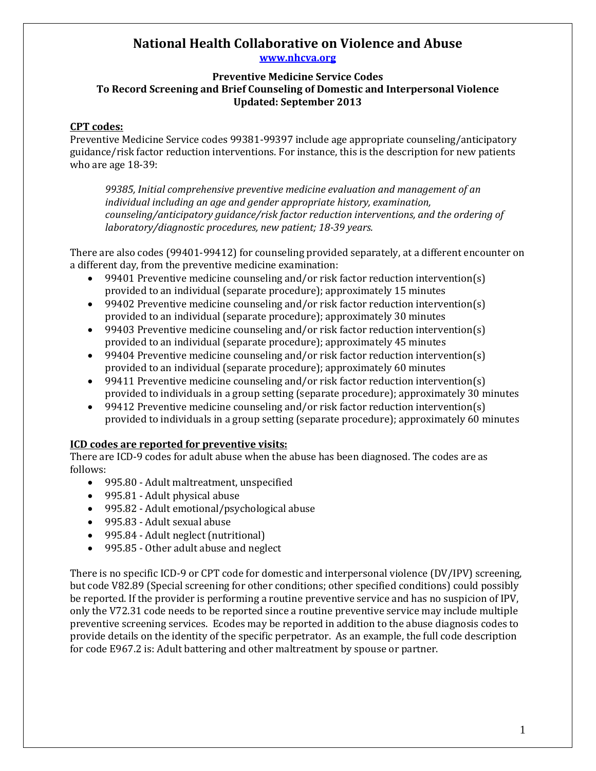# **National Health Collaborative on Violence and Abuse www.nhcva.org**

### **Preventive Medicine Service Codes To Record Screening and Brief Counseling of Domestic and Interpersonal Violence Updated: September 2013**

### **CPT codes:**

Preventive Medicine Service codes 99381-99397 include age appropriate counseling/anticipatory guidance/risk factor reduction interventions. For instance, this is the description for new patients who are age 18-39:

*99385, Initial comprehensive preventive medicine evaluation and management of an individual including an age and gender appropriate history, examination, counseling/anticipatory guidance/risk factor reduction interventions, and the ordering of laboratory/diagnostic procedures, new patient; 18-39 years.*

There are also codes (99401-99412) for counseling provided separately, at a different encounter on a different day, from the preventive medicine examination:

- 99401 Preventive medicine counseling and/or risk factor reduction intervention(s) provided to an individual (separate procedure); approximately 15 minutes
- 99402 Preventive medicine counseling and/or risk factor reduction intervention(s) provided to an individual (separate procedure); approximately 30 minutes
- 99403 Preventive medicine counseling and/or risk factor reduction intervention(s) provided to an individual (separate procedure); approximately 45 minutes
- 99404 Preventive medicine counseling and/or risk factor reduction intervention(s) provided to an individual (separate procedure); approximately 60 minutes
- 99411 Preventive medicine counseling and/or risk factor reduction intervention(s) provided to individuals in a group setting (separate procedure); approximately 30 minutes
- 99412 Preventive medicine counseling and/or risk factor reduction intervention(s) provided to individuals in a group setting (separate procedure); approximately 60 minutes

# **ICD codes are reported for preventive visits:**

There are ICD-9 codes for adult abuse when the abuse has been diagnosed. The codes are as follows:

- 995.80 Adult maltreatment, unspecified
- 995.81 Adult physical abuse
- 995.82 Adult emotional/psychological abuse
- 995.83 Adult sexual abuse
- 995.84 Adult neglect (nutritional)
- 995.85 Other adult abuse and neglect

There is no specific ICD-9 or CPT code for domestic and interpersonal violence (DV/IPV) screening, but code V82.89 (Special screening for other conditions; other specified conditions) could possibly be reported. If the provider is performing a routine preventive service and has no suspicion of IPV, only the V72.31 code needs to be reported since a routine preventive service may include multiple preventive screening services. Ecodes may be reported in addition to the abuse diagnosis codes to provide details on the identity of the specific perpetrator. As an example, the full code description for code E967.2 is: Adult battering and other maltreatment by spouse or partner.